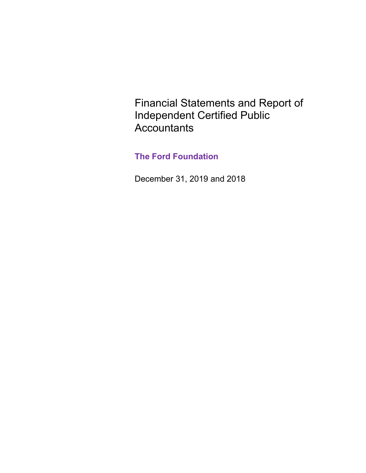Financial Statements and Report of Independent Certified Public **Accountants** 

# **The Ford Foundation**

December 31, 2019 and 2018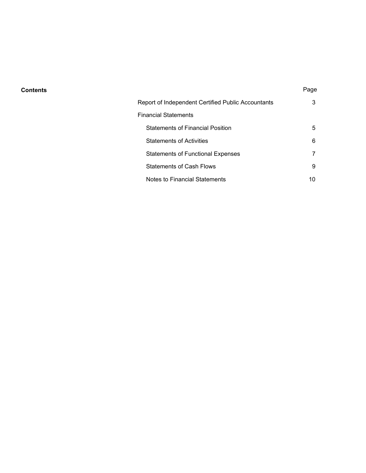#### **Contents** Page

| Report of Independent Certified Public Accountants | 3 |
|----------------------------------------------------|---|
| Financial Statements                               |   |
| <b>Statements of Financial Position</b>            | 5 |
| <b>Statements of Activities</b>                    | 6 |
| <b>Statements of Functional Expenses</b>           |   |
| <b>Statements of Cash Flows</b>                    | 9 |
| Notes to Financial Statements                      |   |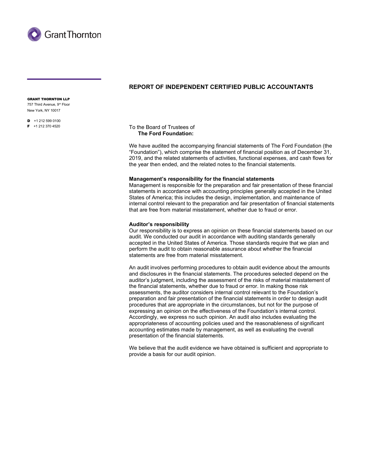

# **REPORT OF INDEPENDENT CERTIFIED PUBLIC ACCOUNTANTS**

GRANT THORNTON LLP 757 Third Avenue, 9<sup>th</sup> Floor

New York, NY 10017

 $\overline{D}$  +1 212 599 0100 F +1 212 370 4520

To the Board of Trustees of  **The Ford Foundation:**

We have audited the accompanying financial statements of The Ford Foundation (the "Foundation"), which comprise the statement of financial position as of December 31, 2019, and the related statements of activities, functional expenses, and cash flows for the year then ended, and the related notes to the financial statements.

#### **Management's responsibility for the financial statements**

Management is responsible for the preparation and fair presentation of these financial statements in accordance with accounting principles generally accepted in the United States of America; this includes the design, implementation, and maintenance of internal control relevant to the preparation and fair presentation of financial statements that are free from material misstatement, whether due to fraud or error.

#### **Auditor's responsibility**

Our responsibility is to express an opinion on these financial statements based on our audit. We conducted our audit in accordance with auditing standards generally accepted in the United States of America. Those standards require that we plan and perform the audit to obtain reasonable assurance about whether the financial statements are free from material misstatement.

An audit involves performing procedures to obtain audit evidence about the amounts and disclosures in the financial statements. The procedures selected depend on the auditor's judgment, including the assessment of the risks of material misstatement of the financial statements, whether due to fraud or error. In making those risk assessments, the auditor considers internal control relevant to the Foundation's preparation and fair presentation of the financial statements in order to design audit procedures that are appropriate in the circumstances, but not for the purpose of expressing an opinion on the effectiveness of the Foundation's internal control. Accordingly, we express no such opinion. An audit also includes evaluating the appropriateness of accounting policies used and the reasonableness of significant accounting estimates made by management, as well as evaluating the overall presentation of the financial statements.

We believe that the audit evidence we have obtained is sufficient and appropriate to provide a basis for our audit opinion.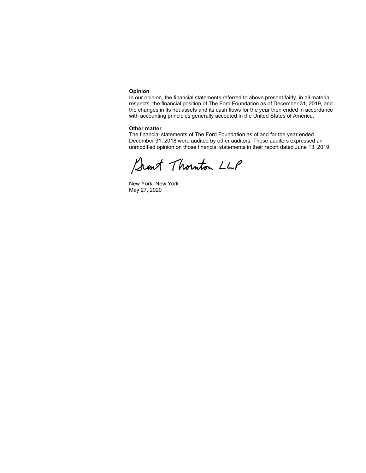#### **Opinion**

In our opinion, the financial statements referred to above present fairly, in all material respects, the financial position of The Ford Foundation as of December 31, 2019, and the changes in its net assets and its cash flows for the year then ended in accordance with accounting principles generally accepted in the United States of America.

#### **Other matter**

The financial statements of The Ford Foundation as of and for the year ended December 31, 2018 were audited by other auditors. Those auditors expressed an unmodified opinion on those financial statements in their report dated June 13, 2019.

Sant Thouton LLP

New York, New York May 27, 2020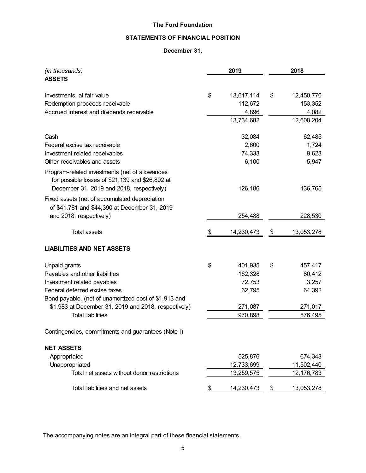# **STATEMENTS OF FINANCIAL POSITION**

# **December 31,**

| (in thousands)                                                                                    | 2019             | 2018             |
|---------------------------------------------------------------------------------------------------|------------------|------------------|
| <b>ASSETS</b>                                                                                     |                  |                  |
| Investments, at fair value                                                                        | \$<br>13,617,114 | \$<br>12,450,770 |
| Redemption proceeds receivable                                                                    | 112,672          | 153,352          |
| Accrued interest and dividends receivable                                                         | 4,896            | 4,082            |
|                                                                                                   | 13,734,682       | 12,608,204       |
| Cash                                                                                              | 32,084           | 62,485           |
| Federal excise tax receivable                                                                     | 2,600            | 1,724            |
| Investment related receivables                                                                    | 74,333           | 9,623            |
| Other receivables and assets                                                                      | 6,100            | 5,947            |
| Program-related investments (net of allowances<br>for possible losses of \$21,139 and \$26,892 at |                  |                  |
| December 31, 2019 and 2018, respectively)                                                         | 126,186          | 136,765          |
| Fixed assets (net of accumulated depreciation                                                     |                  |                  |
| of \$41,781 and \$44,390 at December 31, 2019                                                     |                  |                  |
| and 2018, respectively)                                                                           | 254,488          | 228,530          |
|                                                                                                   |                  |                  |
| <b>Total assets</b>                                                                               | \$<br>14,230,473 | \$<br>13,053,278 |
| <b>LIABILITIES AND NET ASSETS</b>                                                                 |                  |                  |
| Unpaid grants                                                                                     | \$<br>401,935    | \$<br>457,417    |
| Payables and other liabilities                                                                    | 162,328          | 80,412           |
| Investment related payables                                                                       | 72,753           | 3,257            |
| Federal deferred excise taxes                                                                     | 62,795           | 64,392           |
| Bond payable, (net of unamortized cost of \$1,913 and                                             |                  |                  |
| \$1,983 at December 31, 2019 and 2018, respectively)                                              | 271,087          | 271,017          |
| <b>Total liabilities</b>                                                                          | 970,898          | 876,495          |
| Contingencies, commitments and guarantees (Note I)                                                |                  |                  |
| <b>NET ASSETS</b>                                                                                 |                  |                  |
| Appropriated                                                                                      | 525,876          | 674,343          |
| Unappropriated                                                                                    | 12,733,699       | 11,502,440       |
| Total net assets without donor restrictions                                                       | 13,259,575       | 12, 176, 783     |
| Total liabilities and net assets                                                                  | \$<br>14,230,473 | \$<br>13,053,278 |

The accompanying notes are an integral part of these financial statements.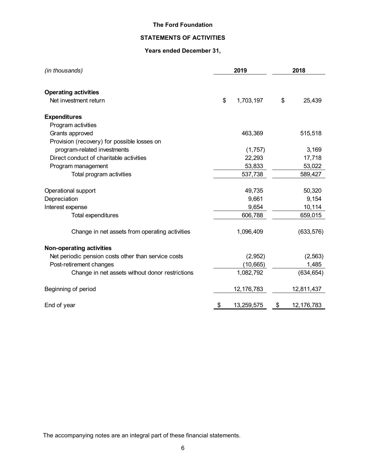# **STATEMENTS OF ACTIVITIES**

# **Years ended December 31,**

| (in thousands)                                                 | 2019             | 2018               |
|----------------------------------------------------------------|------------------|--------------------|
| <b>Operating activities</b><br>Net investment return           | \$<br>1,703,197  | \$<br>25,439       |
|                                                                |                  |                    |
| <b>Expenditures</b><br>Program activities                      |                  |                    |
|                                                                |                  |                    |
| Grants approved<br>Provision (recovery) for possible losses on | 463,369          | 515,518            |
| program-related investments                                    | (1,757)          | 3,169              |
| Direct conduct of charitable activities                        | 22,293           | 17,718             |
| Program management                                             | 53,833           | 53,022             |
| Total program activities                                       | 537,738          | 589,427            |
| Operational support                                            | 49,735           | 50,320             |
| Depreciation                                                   | 9,661            | 9,154              |
| Interest expense                                               | 9,654            | 10,114             |
| Total expenditures                                             | 606,788          | 659,015            |
| Change in net assets from operating activities                 | 1,096,409        | (633, 576)         |
| <b>Non-operating activities</b>                                |                  |                    |
| Net periodic pension costs other than service costs            | (2,952)          | (2, 563)           |
| Post-retirement changes                                        | (10, 665)        | 1,485              |
| Change in net assets without donor restrictions                | 1,082,792        | (634, 654)         |
| Beginning of period                                            | 12, 176, 783     | 12,811,437         |
| End of year                                                    | \$<br>13,259,575 | \$<br>12, 176, 783 |

The accompanying notes are an integral part of these financial statements.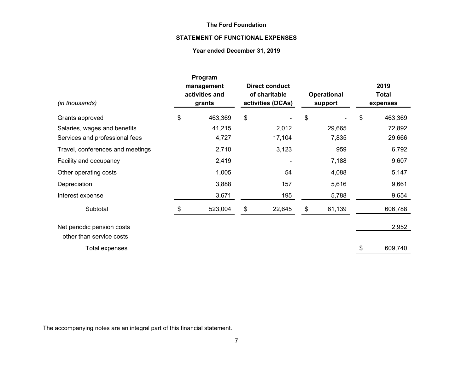# **STATEMENT OF FUNCTIONAL EXPENSES**

# **Year ended December 31, 2019**

| (in thousands)                                         | Program<br>management<br>activities and<br>grants | <b>Direct conduct</b><br>of charitable<br>activities (DCAs) | <b>Operational</b><br>support |    | 2019<br><b>Total</b><br>expenses |
|--------------------------------------------------------|---------------------------------------------------|-------------------------------------------------------------|-------------------------------|----|----------------------------------|
| Grants approved                                        | \$<br>463,369                                     | \$                                                          | \$                            | \$ | 463,369                          |
| Salaries, wages and benefits                           | 41,215                                            | 2,012                                                       | 29,665                        |    | 72,892                           |
| Services and professional fees                         | 4,727                                             | 17,104                                                      | 7,835                         |    | 29,666                           |
| Travel, conferences and meetings                       | 2,710                                             | 3,123                                                       | 959                           |    | 6,792                            |
| Facility and occupancy                                 | 2,419                                             |                                                             | 7,188                         |    | 9,607                            |
| Other operating costs                                  | 1,005                                             | 54                                                          | 4,088                         |    | 5,147                            |
| Depreciation                                           | 3,888                                             | 157                                                         | 5,616                         |    | 9,661                            |
| Interest expense                                       | 3,671                                             | 195                                                         | 5,788                         |    | 9,654                            |
| Subtotal                                               | 523,004                                           | \$<br>22,645                                                | \$<br>61,139                  |    | 606,788                          |
| Net periodic pension costs<br>other than service costs |                                                   |                                                             |                               |    | 2,952                            |
| Total expenses                                         |                                                   |                                                             |                               | S  | 609,740                          |

The accompanying notes are an integral part of this financial statement.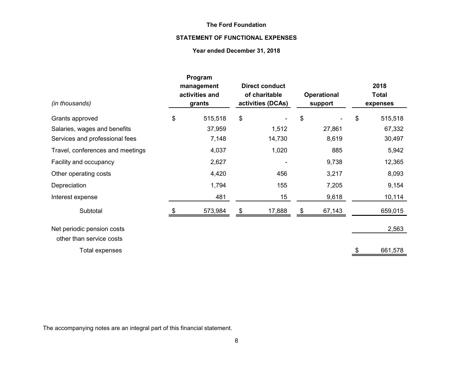# **STATEMENT OF FUNCTIONAL EXPENSES**

# **Year ended December 31, 2018**

| (in thousands)                   | Program<br>management<br>activities and<br>grants | <b>Direct conduct</b><br>of charitable<br>activities (DCAs) |    | <b>Operational</b><br>support | 2018<br><b>Total</b><br>expenses |
|----------------------------------|---------------------------------------------------|-------------------------------------------------------------|----|-------------------------------|----------------------------------|
| Grants approved                  | \$<br>515,518                                     | \$                                                          | \$ |                               | \$<br>515,518                    |
| Salaries, wages and benefits     | 37,959                                            | 1,512                                                       |    | 27,861                        | 67,332                           |
| Services and professional fees   | 7,148                                             | 14,730                                                      |    | 8,619                         | 30,497                           |
| Travel, conferences and meetings | 4,037                                             | 1,020                                                       |    | 885                           | 5,942                            |
| Facility and occupancy           | 2,627                                             |                                                             |    | 9,738                         | 12,365                           |
| Other operating costs            | 4,420                                             | 456                                                         |    | 3,217                         | 8,093                            |
| Depreciation                     | 1,794                                             | 155                                                         |    | 7,205                         | 9,154                            |
| Interest expense                 | 481                                               | 15                                                          |    | 9,618                         | 10,114                           |
| Subtotal                         | 573,984                                           | \$<br>17,888                                                | S  | 67,143                        | 659,015                          |
| Net periodic pension costs       |                                                   |                                                             |    |                               | 2,563                            |
| other than service costs         |                                                   |                                                             |    |                               |                                  |
| Total expenses                   |                                                   |                                                             |    |                               | \$<br>661,578                    |

The accompanying notes are an integral part of this financial statement.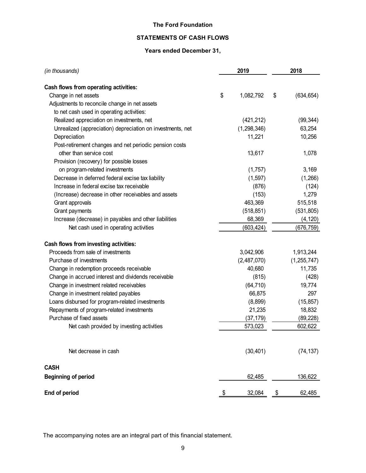# **STATEMENTS OF CASH FLOWS**

# **Years ended December 31,**

| (in thousands)                                             | 2019            | 2018             |
|------------------------------------------------------------|-----------------|------------------|
| Cash flows from operating activities:                      |                 |                  |
| Change in net assets                                       | \$<br>1,082,792 | \$<br>(634, 654) |
| Adjustments to reconcile change in net assets              |                 |                  |
| to net cash used in operating activities:                  |                 |                  |
| Realized appreciation on investments, net                  | (421, 212)      | (99, 344)        |
| Unrealized (appreciation) depreciation on investments, net | (1,298,346)     | 63,254           |
| Depreciation                                               | 11,221          | 10,256           |
| Post-retirement changes and net periodic pension costs     |                 |                  |
| other than service cost                                    | 13,617          | 1,078            |
| Provision (recovery) for possible losses                   |                 |                  |
| on program-related investments                             | (1,757)         | 3,169            |
| Decrease in deferred federal excise tax liability          | (1, 597)        | (1,266)          |
| Increase in federal excise tax receivable                  | (876)           | (124)            |
| (Increase) decrease in other receivables and assets        | (153)           | 1,279            |
| Grant approvals                                            | 463,369         | 515,518          |
| Grant payments                                             | (518, 851)      | (531, 805)       |
| Increase (decrease) in payables and other liabilities      | 68,369          | (4, 120)         |
| Net cash used in operating activities                      | (603,424)       | (676,759)        |
| Cash flows from investing activities:                      |                 |                  |
| Proceeds from sale of investments                          | 3,042,906       | 1,913,244        |
| Purchase of investments                                    | (2,487,070)     | (1, 255, 747)    |
| Change in redemption proceeds receivable                   | 40,680          | 11,735           |
| Change in accrued interest and dividends receivable        | (815)           | (428)            |
| Change in investment related receivables                   | (64, 710)       | 19,774           |
| Change in investment related payables                      | 66,875          | 297              |
| Loans disbursed for program-related investments            | (8,899)         | (15, 857)        |
| Repayments of program-related investments                  | 21,235          | 18,832           |
| Purchase of fixed assets                                   | (37, 179)       | (89, 228)        |
| Net cash provided by investing activities                  | 573,023         | 602,622          |
| Net decrease in cash                                       | (30, 401)       | (74, 137)        |
| <b>CASH</b>                                                |                 |                  |
| <b>Beginning of period</b>                                 | 62,485          | 136,622          |
| End of period                                              | \$<br>32,084    | \$<br>62,485     |

The accompanying notes are an integral part of this financial statement.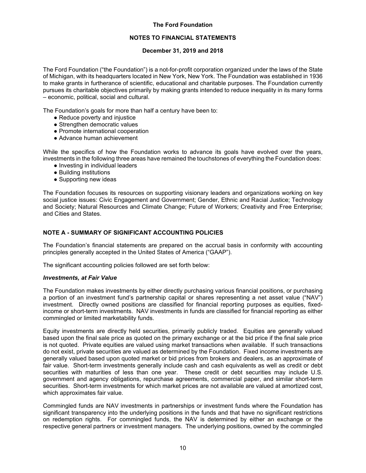#### **NOTES TO FINANCIAL STATEMENTS**

#### **December 31, 2019 and 2018**

The Ford Foundation ("the Foundation") is a not-for-profit corporation organized under the laws of the State of Michigan, with its headquarters located in New York, New York. The Foundation was established in 1936 to make grants in furtherance of scientific, educational and charitable purposes. The Foundation currently pursues its charitable objectives primarily by making grants intended to reduce inequality in its many forms – economic, political, social and cultural.

The Foundation's goals for more than half a century have been to:

- Reduce poverty and injustice
- Strengthen democratic values
- Promote international cooperation
- Advance human achievement

While the specifics of how the Foundation works to advance its goals have evolved over the years, investments in the following three areas have remained the touchstones of everything the Foundation does:

- Investing in individual leaders
- Building institutions
- Supporting new ideas

The Foundation focuses its resources on supporting visionary leaders and organizations working on key social justice issues: Civic Engagement and Government; Gender, Ethnic and Racial Justice; Technology and Society; Natural Resources and Climate Change; Future of Workers; Creativity and Free Enterprise; and Cities and States.

#### **NOTE A - SUMMARY OF SIGNIFICANT ACCOUNTING POLICIES**

The Foundation's financial statements are prepared on the accrual basis in conformity with accounting principles generally accepted in the United States of America ("GAAP").

The significant accounting policies followed are set forth below:

#### *Investments, at Fair Value*

The Foundation makes investments by either directly purchasing various financial positions, or purchasing a portion of an investment fund's partnership capital or shares representing a net asset value ("NAV") investment. Directly owned positions are classified for financial reporting purposes as equities, fixedincome or short-term investments. NAV investments in funds are classified for financial reporting as either commingled or limited marketability funds.

Equity investments are directly held securities, primarily publicly traded. Equities are generally valued based upon the final sale price as quoted on the primary exchange or at the bid price if the final sale price is not quoted. Private equities are valued using market transactions when available. If such transactions do not exist, private securities are valued as determined by the Foundation. Fixed income investments are generally valued based upon quoted market or bid prices from brokers and dealers, as an approximate of fair value. Short-term investments generally include cash and cash equivalents as well as credit or debt securities with maturities of less than one year. These credit or debt securities may include U.S. government and agency obligations, repurchase agreements, commercial paper, and similar short-term securities. Short-term investments for which market prices are not available are valued at amortized cost, which approximates fair value.

Commingled funds are NAV investments in partnerships or investment funds where the Foundation has significant transparency into the underlying positions in the funds and that have no significant restrictions on redemption rights. For commingled funds, the NAV is determined by either an exchange or the respective general partners or investment managers. The underlying positions, owned by the commingled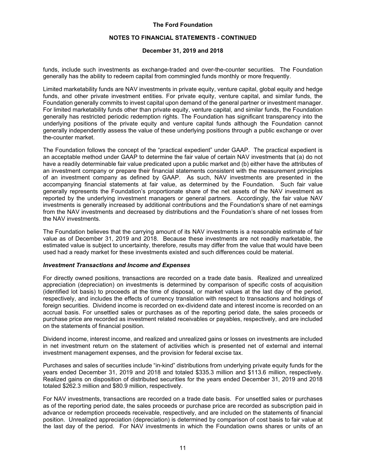#### **NOTES TO FINANCIAL STATEMENTS - CONTINUED**

#### **December 31, 2019 and 2018**

funds, include such investments as exchange-traded and over-the-counter securities. The Foundation generally has the ability to redeem capital from commingled funds monthly or more frequently.

Limited marketability funds are NAV investments in private equity, venture capital, global equity and hedge funds, and other private investment entities. For private equity, venture capital, and similar funds, the Foundation generally commits to invest capital upon demand of the general partner or investment manager. For limited marketability funds other than private equity, venture capital, and similar funds, the Foundation generally has restricted periodic redemption rights. The Foundation has significant transparency into the underlying positions of the private equity and venture capital funds although the Foundation cannot generally independently assess the value of these underlying positions through a public exchange or over the-counter market.

The Foundation follows the concept of the "practical expedient" under GAAP. The practical expedient is an acceptable method under GAAP to determine the fair value of certain NAV investments that (a) do not have a readily determinable fair value predicated upon a public market and (b) either have the attributes of an investment company or prepare their financial statements consistent with the measurement principles of an investment company as defined by GAAP. As such, NAV investments are presented in the accompanying financial statements at fair value, as determined by the Foundation. Such fair value generally represents the Foundation's proportionate share of the net assets of the NAV investment as reported by the underlying investment managers or general partners. Accordingly, the fair value NAV investments is generally increased by additional contributions and the Foundation's share of net earnings from the NAV investments and decreased by distributions and the Foundation's share of net losses from the NAV investments.

The Foundation believes that the carrying amount of its NAV investments is a reasonable estimate of fair value as of December 31, 2019 and 2018. Because these investments are not readily marketable, the estimated value is subject to uncertainty, therefore, results may differ from the value that would have been used had a ready market for these investments existed and such differences could be material.

#### *Investment Transactions and Income and Expenses*

For directly owned positions, transactions are recorded on a trade date basis. Realized and unrealized appreciation (depreciation) on investments is determined by comparison of specific costs of acquisition (identified lot basis) to proceeds at the time of disposal, or market values at the last day of the period, respectively, and includes the effects of currency translation with respect to transactions and holdings of foreign securities. Dividend income is recorded on ex-dividend date and interest income is recorded on an accrual basis. For unsettled sales or purchases as of the reporting period date, the sales proceeds or purchase price are recorded as investment related receivables or payables, respectively, and are included on the statements of financial position.

Dividend income, interest income, and realized and unrealized gains or losses on investments are included in net investment return on the statement of activities which is presented net of external and internal investment management expenses, and the provision for federal excise tax.

Purchases and sales of securities include "in-kind" distributions from underlying private equity funds for the years ended December 31, 2019 and 2018 and totaled \$335.3 million and \$113.6 million, respectively. Realized gains on disposition of distributed securities for the years ended December 31, 2019 and 2018 totaled \$262.3 million and \$80.9 million, respectively.

For NAV investments, transactions are recorded on a trade date basis. For unsettled sales or purchases as of the reporting period date, the sales proceeds or purchase price are recorded as subscription paid in advance or redemption proceeds receivable, respectively, and are included on the statements of financial position. Unrealized appreciation (depreciation) is determined by comparison of cost basis to fair value at the last day of the period. For NAV investments in which the Foundation owns shares or units of an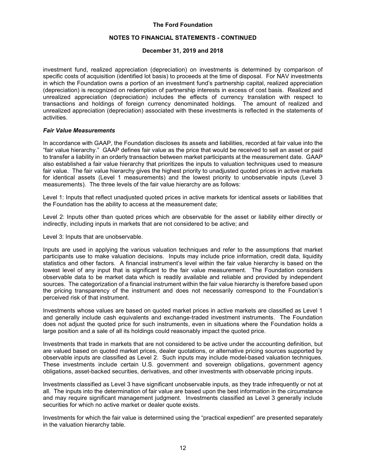#### **NOTES TO FINANCIAL STATEMENTS - CONTINUED**

#### **December 31, 2019 and 2018**

investment fund, realized appreciation (depreciation) on investments is determined by comparison of specific costs of acquisition (identified lot basis) to proceeds at the time of disposal. For NAV investments in which the Foundation owns a portion of an investment fund's partnership capital, realized appreciation (depreciation) is recognized on redemption of partnership interests in excess of cost basis. Realized and unrealized appreciation (depreciation) includes the effects of currency translation with respect to transactions and holdings of foreign currency denominated holdings. The amount of realized and unrealized appreciation (depreciation) associated with these investments is reflected in the statements of activities.

#### *Fair Value Measurements*

In accordance with GAAP, the Foundation discloses its assets and liabilities, recorded at fair value into the "fair value hierarchy." GAAP defines fair value as the price that would be received to sell an asset or paid to transfer a liability in an orderly transaction between market participants at the measurement date. GAAP also established a fair value hierarchy that prioritizes the inputs to valuation techniques used to measure fair value. The fair value hierarchy gives the highest priority to unadjusted quoted prices in active markets for identical assets (Level 1 measurements) and the lowest priority to unobservable inputs (Level 3 measurements). The three levels of the fair value hierarchy are as follows:

Level 1: Inputs that reflect unadjusted quoted prices in active markets for identical assets or liabilities that the Foundation has the ability to access at the measurement date;

Level 2: Inputs other than quoted prices which are observable for the asset or liability either directly or indirectly, including inputs in markets that are not considered to be active; and

Level 3: Inputs that are unobservable.

Inputs are used in applying the various valuation techniques and refer to the assumptions that market participants use to make valuation decisions. Inputs may include price information, credit data, liquidity statistics and other factors. A financial instrument's level within the fair value hierarchy is based on the lowest level of any input that is significant to the fair value measurement. The Foundation considers observable data to be market data which is readily available and reliable and provided by independent sources. The categorization of a financial instrument within the fair value hierarchy is therefore based upon the pricing transparency of the instrument and does not necessarily correspond to the Foundation's perceived risk of that instrument.

Investments whose values are based on quoted market prices in active markets are classified as Level 1 and generally include cash equivalents and exchange-traded investment instruments. The Foundation does not adjust the quoted price for such instruments, even in situations where the Foundation holds a large position and a sale of all its holdings could reasonably impact the quoted price.

Investments that trade in markets that are not considered to be active under the accounting definition, but are valued based on quoted market prices, dealer quotations, or alternative pricing sources supported by observable inputs are classified as Level 2. Such inputs may include model-based valuation techniques. These investments include certain U.S. government and sovereign obligations, government agency obligations, asset-backed securities, derivatives, and other investments with observable pricing inputs.

Investments classified as Level 3 have significant unobservable inputs, as they trade infrequently or not at all. The inputs into the determination of fair value are based upon the best information in the circumstance and may require significant management judgment. Investments classified as Level 3 generally include securities for which no active market or dealer quote exists.

Investments for which the fair value is determined using the "practical expedient" are presented separately in the valuation hierarchy table.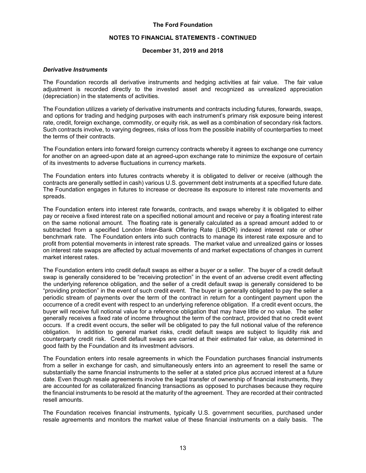#### **NOTES TO FINANCIAL STATEMENTS - CONTINUED**

#### **December 31, 2019 and 2018**

#### *Derivative Instruments*

The Foundation records all derivative instruments and hedging activities at fair value. The fair value adjustment is recorded directly to the invested asset and recognized as unrealized appreciation (depreciation) in the statements of activities.

The Foundation utilizes a variety of derivative instruments and contracts including futures, forwards, swaps, and options for trading and hedging purposes with each instrument's primary risk exposure being interest rate, credit, foreign exchange, commodity, or equity risk, as well as a combination of secondary risk factors. Such contracts involve, to varying degrees, risks of loss from the possible inability of counterparties to meet the terms of their contracts.

The Foundation enters into forward foreign currency contracts whereby it agrees to exchange one currency for another on an agreed-upon date at an agreed-upon exchange rate to minimize the exposure of certain of its investments to adverse fluctuations in currency markets.

The Foundation enters into futures contracts whereby it is obligated to deliver or receive (although the contracts are generally settled in cash) various U.S. government debt instruments at a specified future date. The Foundation engages in futures to increase or decrease its exposure to interest rate movements and spreads.

The Foundation enters into interest rate forwards, contracts, and swaps whereby it is obligated to either pay or receive a fixed interest rate on a specified notional amount and receive or pay a floating interest rate on the same notional amount. The floating rate is generally calculated as a spread amount added to or subtracted from a specified London Inter-Bank Offering Rate (LIBOR) indexed interest rate or other benchmark rate. The Foundation enters into such contracts to manage its interest rate exposure and to profit from potential movements in interest rate spreads. The market value and unrealized gains or losses on interest rate swaps are affected by actual movements of and market expectations of changes in current market interest rates.

The Foundation enters into credit default swaps as either a buyer or a seller. The buyer of a credit default swap is generally considered to be "receiving protection" in the event of an adverse credit event affecting the underlying reference obligation, and the seller of a credit default swap is generally considered to be "providing protection" in the event of such credit event. The buyer is generally obligated to pay the seller a periodic stream of payments over the term of the contract in return for a contingent payment upon the occurrence of a credit event with respect to an underlying reference obligation. If a credit event occurs, the buyer will receive full notional value for a reference obligation that may have little or no value. The seller generally receives a fixed rate of income throughout the term of the contract, provided that no credit event occurs. If a credit event occurs, the seller will be obligated to pay the full notional value of the reference obligation. In addition to general market risks, credit default swaps are subject to liquidity risk and counterparty credit risk. Credit default swaps are carried at their estimated fair value, as determined in good faith by the Foundation and its investment advisors.

The Foundation enters into resale agreements in which the Foundation purchases financial instruments from a seller in exchange for cash, and simultaneously enters into an agreement to resell the same or substantially the same financial instruments to the seller at a stated price plus accrued interest at a future date. Even though resale agreements involve the legal transfer of ownership of financial instruments, they are accounted for as collateralized financing transactions as opposed to purchases because they require the financial instruments to be resold at the maturity of the agreement. They are recorded at their contracted resell amounts.

The Foundation receives financial instruments, typically U.S. government securities, purchased under resale agreements and monitors the market value of these financial instruments on a daily basis. The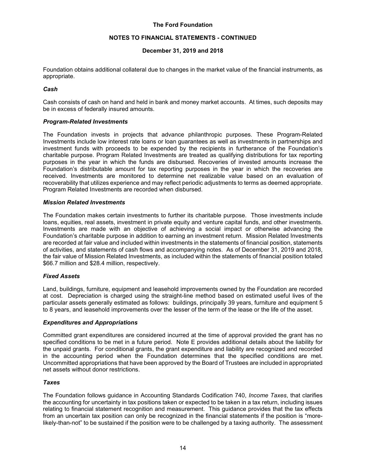#### **NOTES TO FINANCIAL STATEMENTS - CONTINUED**

## **December 31, 2019 and 2018**

Foundation obtains additional collateral due to changes in the market value of the financial instruments, as appropriate.

#### *Cash*

Cash consists of cash on hand and held in bank and money market accounts. At times, such deposits may be in excess of federally insured amounts.

#### *Program-Related Investments*

The Foundation invests in projects that advance philanthropic purposes. These Program-Related Investments include low interest rate loans or loan guarantees as well as investments in partnerships and investment funds with proceeds to be expended by the recipients in furtherance of the Foundation's charitable purpose. Program Related Investments are treated as qualifying distributions for tax reporting purposes in the year in which the funds are disbursed. Recoveries of invested amounts increase the Foundation's distributable amount for tax reporting purposes in the year in which the recoveries are received. Investments are monitored to determine net realizable value based on an evaluation of recoverability that utilizes experience and may reflect periodic adjustments to terms as deemed appropriate. Program Related Investments are recorded when disbursed.

#### *Mission Related Investments*

The Foundation makes certain investments to further its charitable purpose. Those investments include loans, equities, real assets, investment in private equity and venture capital funds, and other investments. Investments are made with an objective of achieving a social impact or otherwise advancing the Foundation's charitable purpose in addition to earning an investment return. Mission Related Investments are recorded at fair value and included within investments in the statements of financial position, statements of activities, and statements of cash flows and accompanying notes. As of December 31, 2019 and 2018, the fair value of Mission Related Investments, as included within the statements of financial position totaled \$66.7 million and \$28.4 million, respectively.

#### *Fixed Assets*

Land, buildings, furniture, equipment and leasehold improvements owned by the Foundation are recorded at cost. Depreciation is charged using the straight-line method based on estimated useful lives of the particular assets generally estimated as follows: buildings, principally 39 years, furniture and equipment 5 to 8 years, and leasehold improvements over the lesser of the term of the lease or the life of the asset.

#### *Expenditures and Appropriations*

Committed grant expenditures are considered incurred at the time of approval provided the grant has no specified conditions to be met in a future period. Note E provides additional details about the liability for the unpaid grants. For conditional grants, the grant expenditure and liability are recognized and recorded in the accounting period when the Foundation determines that the specified conditions are met. Uncommitted appropriations that have been approved by the Board of Trustees are included in appropriated net assets without donor restrictions.

#### *Taxes*

The Foundation follows guidance in Accounting Standards Codification 740, *Income Taxes*, that clarifies the accounting for uncertainty in tax positions taken or expected to be taken in a tax return, including issues relating to financial statement recognition and measurement. This guidance provides that the tax effects from an uncertain tax position can only be recognized in the financial statements if the position is "morelikely-than-not" to be sustained if the position were to be challenged by a taxing authority. The assessment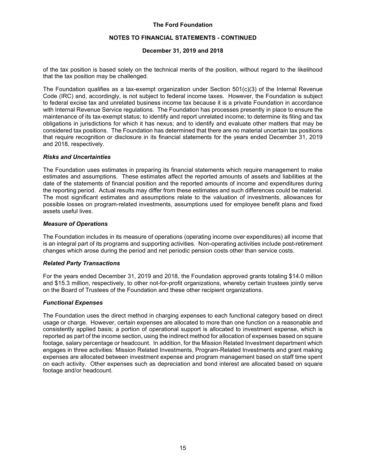#### **NOTES TO FINANCIAL STATEMENTS - CONTINUED**

#### **December 31, 2019 and 2018**

of the tax position is based solely on the technical merits of the position, without regard to the likelihood that the tax position may be challenged.

The Foundation qualifies as a tax-exempt organization under Section  $501(c)(3)$  of the Internal Revenue Code (IRC) and, accordingly, is not subject to federal income taxes. However, the Foundation is subject to federal excise tax and unrelated business income tax because it is a private Foundation in accordance with Internal Revenue Service regulations. The Foundation has processes presently in place to ensure the maintenance of its tax-exempt status; to identify and report unrelated income; to determine its filing and tax obligations in jurisdictions for which it has nexus; and to identify and evaluate other matters that may be considered tax positions. The Foundation has determined that there are no material uncertain tax positions that require recognition or disclosure in its financial statements for the years ended December 31, 2019 and 2018, respectively.

#### *Risks and Uncertainties*

The Foundation uses estimates in preparing its financial statements which require management to make estimates and assumptions. These estimates affect the reported amounts of assets and liabilities at the date of the statements of financial position and the reported amounts of income and expenditures during the reporting period. Actual results may differ from these estimates and such differences could be material. The most significant estimates and assumptions relate to the valuation of investments, allowances for possible losses on program-related investments, assumptions used for employee benefit plans and fixed assets useful lives.

#### *Measure of Operations*

The Foundation includes in its measure of operations (operating income over expenditures) all income that is an integral part of its programs and supporting activities. Non-operating activities include post-retirement changes which arose during the period and net periodic pension costs other than service costs.

#### *Related Party Transactions*

For the years ended December 31, 2019 and 2018, the Foundation approved grants totaling \$14.0 million and \$15.3 million, respectively, to other not-for-profit organizations, whereby certain trustees jointly serve on the Board of Trustees of the Foundation and these other recipient organizations.

#### *Functional Expenses*

The Foundation uses the direct method in charging expenses to each functional category based on direct usage or charge. However, certain expenses are allocated to more than one function on a reasonable and consistently applied basis; a portion of operational support is allocated to investment expense, which is reported as part of the income section, using the indirect method for allocation of expenses based on square footage, salary percentage or headcount. In addition, for the Mission Related Investment department which engages in three activities: Mission Related Investments, Program-Related Investments and grant making expenses are allocated between investment expense and program management based on staff time spent on each activity. Other expenses such as depreciation and bond interest are allocated based on square footage and/or headcount.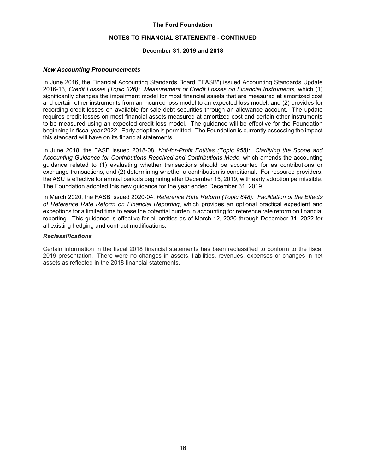#### **NOTES TO FINANCIAL STATEMENTS - CONTINUED**

#### **December 31, 2019 and 2018**

#### *New Accounting Pronouncements*

In June 2016, the Financial Accounting Standards Board ("FASB") issued Accounting Standards Update 2016-13, *Credit Losses (Topic 326): Measurement of Credit Losses on Financial Instruments,* which (1) significantly changes the impairment model for most financial assets that are measured at amortized cost and certain other instruments from an incurred loss model to an expected loss model, and (2) provides for recording credit losses on available for sale debt securities through an allowance account. The update requires credit losses on most financial assets measured at amortized cost and certain other instruments to be measured using an expected credit loss model. The guidance will be effective for the Foundation beginning in fiscal year 2022. Early adoption is permitted. The Foundation is currently assessing the impact this standard will have on its financial statements.

In June 2018, the FASB issued 2018-08, *Not-for-Profit Entities (Topic 958): Clarifying the Scope and Accounting Guidance for Contributions Received and Contributions Made*, which amends the accounting guidance related to (1) evaluating whether transactions should be accounted for as contributions or exchange transactions, and (2) determining whether a contribution is conditional. For resource providers, the ASU is effective for annual periods beginning after December 15, 2019, with early adoption permissible. The Foundation adopted this new guidance for the year ended December 31, 2019.

In March 2020, the FASB issued 2020-04, *Reference Rate Reform (Topic 848): Facilitation of the Effects of Reference Rate Reform on Financial Reporting*, which provides an optional practical expedient and exceptions for a limited time to ease the potential burden in accounting for reference rate reform on financial reporting. This guidance is effective for all entities as of March 12, 2020 through December 31, 2022 for all existing hedging and contract modifications.

#### *Reclassifications*

Certain information in the fiscal 2018 financial statements has been reclassified to conform to the fiscal 2019 presentation. There were no changes in assets, liabilities, revenues, expenses or changes in net assets as reflected in the 2018 financial statements.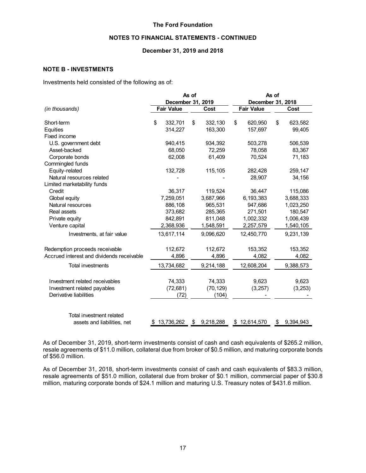# **NOTES TO FINANCIAL STATEMENTS - CONTINUED**

#### **December 31, 2019 and 2018**

# **NOTE B - INVESTMENTS**

Investments held consisted of the following as of:

|                                           | As of |                   |    |           |    | As of             |    |           |  |  |
|-------------------------------------------|-------|-------------------|----|-----------|----|-------------------|----|-----------|--|--|
|                                           |       | December 31, 2019 |    |           |    | December 31, 2018 |    |           |  |  |
| (in thousands)                            |       | <b>Fair Value</b> |    | Cost      |    | <b>Fair Value</b> |    | Cost      |  |  |
| Short-term                                | \$    | 332,701           | \$ | 332,130   | \$ | 620,950           | \$ | 623,582   |  |  |
| Equities                                  |       | 314,227           |    | 163,300   |    | 157,697           |    | 99,405    |  |  |
| Fixed income                              |       |                   |    |           |    |                   |    |           |  |  |
| U.S. government debt                      |       | 940,415           |    | 934,392   |    | 503,278           |    | 506,539   |  |  |
| Asset-backed                              |       | 68,050            |    | 72.259    |    | 78.058            |    | 83,367    |  |  |
| Corporate bonds                           |       | 62,008            |    | 61,409    |    | 70,524            |    | 71,183    |  |  |
| Commingled funds                          |       |                   |    |           |    |                   |    |           |  |  |
| Equity-related                            |       | 132,728           |    | 115,105   |    | 282,428           |    | 259,147   |  |  |
| Natural resources related                 |       |                   |    |           |    | 28,907            |    | 34,156    |  |  |
| Limited marketability funds               |       |                   |    |           |    |                   |    |           |  |  |
| Credit                                    |       | 36,317            |    | 119,524   |    | 36,447            |    | 115,086   |  |  |
| Global equity                             |       | 7,259,051         |    | 3,687,966 |    | 6,193,383         |    | 3,688,333 |  |  |
| Natural resources                         |       | 886,108           |    | 965,531   |    | 947,686           |    | 1,023,250 |  |  |
| Real assets                               |       | 373,682           |    | 285,365   |    | 271,501           |    | 180,547   |  |  |
| Private equity                            |       | 842,891           |    | 811,048   |    | 1,002,332         |    | 1,006,439 |  |  |
| Venture capital                           |       | 2,368,936         |    | 1,548,591 |    | 2,257,579         |    | 1,540,105 |  |  |
| Investments, at fair value                |       | 13,617,114        |    | 9,096,620 |    | 12,450,770        |    | 9,231,139 |  |  |
| Redemption proceeds receivable            |       | 112,672           |    | 112,672   |    | 153,352           |    | 153,352   |  |  |
| Accrued interest and dividends receivable |       | 4,896             |    | 4,896     |    | 4,082             |    | 4,082     |  |  |
| <b>Total investments</b>                  |       | 13,734,682        |    | 9,214,188 |    | 12,608,204        |    | 9,388,573 |  |  |
| Investment related receivables            |       | 74,333            |    | 74,333    |    | 9,623             |    | 9,623     |  |  |
| Investment related payables               |       | (72, 681)         |    | (70, 129) |    | (3,257)           |    | (3,253)   |  |  |
| Derivative liabilities                    |       | (72)              |    | (104)     |    |                   |    |           |  |  |
| Total investment related                  |       |                   |    |           |    |                   |    |           |  |  |
| assets and liabilities, net               | \$    | 13,736,262        | \$ | 9,218,288 |    | \$12,614,570      | \$ | 9,394,943 |  |  |

As of December 31, 2019, short-term investments consist of cash and cash equivalents of \$265.2 million, resale agreements of \$11.0 million, collateral due from broker of \$0.5 million, and maturing corporate bonds of \$56.0 million.

As of December 31, 2018, short-term investments consist of cash and cash equivalents of \$83.3 million, resale agreements of \$51.0 million, collateral due from broker of \$0.1 million, commercial paper of \$30.8 million, maturing corporate bonds of \$24.1 million and maturing U.S. Treasury notes of \$431.6 million.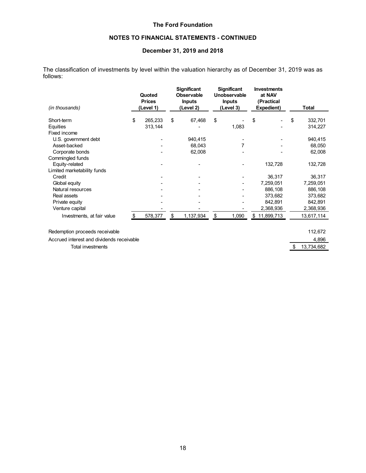# **NOTES TO FINANCIAL STATEMENTS - CONTINUED**

# **December 31, 2019 and 2018**

The classification of investments by level within the valuation hierarchy as of December 31, 2019 was as follows:

| (in thousands)                            | Quoted<br><b>Prices</b><br>Level 1) | <b>Significant</b><br><b>Observable</b><br><b>Inputs</b><br>(Level 2) | <b>Significant</b><br>Unobservable<br><b>Inputs</b><br>(Level 3) | <b>Investments</b><br>at NAV<br>(Practical<br>Expedient) | <b>Total</b>  |
|-------------------------------------------|-------------------------------------|-----------------------------------------------------------------------|------------------------------------------------------------------|----------------------------------------------------------|---------------|
|                                           |                                     |                                                                       | \$                                                               |                                                          |               |
| Short-term                                | \$<br>265,233                       | \$<br>67,468                                                          |                                                                  | \$                                                       | \$<br>332,701 |
| Equities                                  | 313,144                             |                                                                       | 1,083                                                            |                                                          | 314,227       |
| Fixed income                              |                                     |                                                                       |                                                                  |                                                          |               |
| U.S. government debt                      |                                     | 940,415                                                               |                                                                  |                                                          | 940,415       |
| Asset-backed                              |                                     | 68,043                                                                | 7                                                                |                                                          | 68,050        |
| Corporate bonds                           |                                     | 62,008                                                                |                                                                  |                                                          | 62,008        |
| Commingled funds                          |                                     |                                                                       |                                                                  |                                                          |               |
| Equity-related                            |                                     |                                                                       |                                                                  | 132,728                                                  | 132,728       |
| Limited marketability funds               |                                     |                                                                       |                                                                  |                                                          |               |
| Credit                                    |                                     |                                                                       |                                                                  | 36,317                                                   | 36,317        |
| Global equity                             |                                     |                                                                       |                                                                  | 7,259,051                                                | 7,259,051     |
| Natural resources                         |                                     |                                                                       |                                                                  | 886,108                                                  | 886,108       |
| Real assets                               |                                     |                                                                       |                                                                  | 373,682                                                  | 373,682       |
| Private equity                            |                                     |                                                                       |                                                                  | 842,891                                                  | 842,891       |
| Venture capital                           |                                     |                                                                       |                                                                  | 2,368,936                                                | 2,368,936     |
| Investments, at fair value                | \$<br>578,377                       | \$<br>1,137,934                                                       | \$<br>1,090                                                      | \$<br>11,899,713                                         | 13,617,114    |
| Redemption proceeds receivable            |                                     |                                                                       |                                                                  |                                                          | 112,672       |
| Accrued interest and dividends receivable |                                     |                                                                       |                                                                  |                                                          | 4,896         |
|                                           |                                     |                                                                       |                                                                  |                                                          |               |

Total investments \$ 13,734,682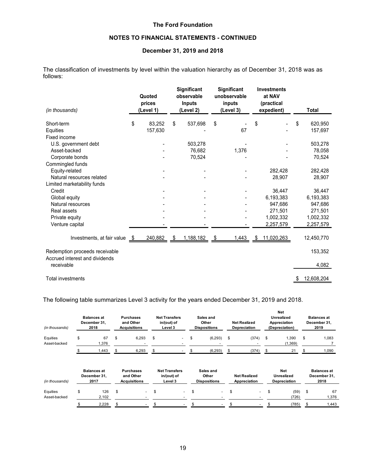# **NOTES TO FINANCIAL STATEMENTS - CONTINUED**

#### **December 31, 2019 and 2018**

The classification of investments by level within the valuation hierarchy as of December 31, 2018 was as follows:

| (in thousands)                                                   |      | Quoted<br>prices<br>(Level 1) | Significant<br>observable<br><b>Inputs</b><br>(Level 2) |      | Significant<br>unobservable<br>inputs<br>(Level 3) | <b>Investments</b><br>at NAV<br>(practical<br>expedient) | <b>Total</b>     |
|------------------------------------------------------------------|------|-------------------------------|---------------------------------------------------------|------|----------------------------------------------------|----------------------------------------------------------|------------------|
| Short-term                                                       | \$   | 83,252                        | \$<br>537,698                                           | \$   |                                                    | \$                                                       | \$<br>620,950    |
| Equities                                                         |      | 157,630                       |                                                         |      | 67                                                 |                                                          | 157,697          |
| Fixed income                                                     |      |                               |                                                         |      |                                                    |                                                          |                  |
| U.S. government debt                                             |      |                               | 503,278                                                 |      |                                                    |                                                          | 503,278          |
| Asset-backed                                                     |      |                               | 76,682                                                  |      | 1,376                                              |                                                          | 78,058           |
| Corporate bonds                                                  |      |                               | 70,524                                                  |      |                                                    |                                                          | 70,524           |
| Commingled funds                                                 |      |                               |                                                         |      |                                                    |                                                          |                  |
| Equity-related                                                   |      |                               |                                                         |      |                                                    | 282,428                                                  | 282,428          |
| Natural resources related                                        |      |                               |                                                         |      |                                                    | 28,907                                                   | 28,907           |
| Limited marketability funds                                      |      |                               |                                                         |      |                                                    |                                                          |                  |
| Credit                                                           |      |                               |                                                         |      |                                                    | 36,447                                                   | 36,447           |
| Global equity                                                    |      |                               |                                                         |      |                                                    | 6,193,383                                                | 6,193,383        |
| Natural resources                                                |      |                               |                                                         |      |                                                    | 947,686                                                  | 947,686          |
| Real assets                                                      |      |                               |                                                         |      |                                                    | 271,501                                                  | 271,501          |
| Private equity                                                   |      |                               |                                                         |      |                                                    | 1,002,332                                                | 1,002,332        |
| Venture capital                                                  |      |                               |                                                         |      |                                                    | 2,257,579                                                | 2,257,579        |
| Investments, at fair value                                       | - \$ | 240,882                       | \$<br>1,188,182                                         | - \$ | 1,443                                              | \$<br>11,020,263                                         | 12,450,770       |
| Redemption proceeds receivable<br>Accrued interest and dividends |      |                               |                                                         |      |                                                    |                                                          | 153,352          |
| receivable                                                       |      |                               |                                                         |      |                                                    |                                                          | 4,082            |
| <b>Total investments</b>                                         |      |                               |                                                         |      |                                                    |                                                          | \$<br>12,608,204 |

The following table summarizes Level 3 activity for the years ended December 31, 2019 and 2018.

| (in thousands)           | <b>Balances at</b><br>December 31,<br>2018 |     | <b>Purchases</b><br>and Other<br><b>Acquisitions</b> | <b>Net Transfers</b><br>in/(out) of<br>Level 3 | Sales and<br>Other<br><b>Dispositions</b> | <b>Net Realized</b><br>Depreciation | <b>Net</b><br>Unrealized<br>Appreciation<br>(Depreciation) | <b>Balances at</b><br>December 31,<br>2019 |
|--------------------------|--------------------------------------------|-----|------------------------------------------------------|------------------------------------------------|-------------------------------------------|-------------------------------------|------------------------------------------------------------|--------------------------------------------|
| Equities<br>Asset-backed | \$<br>67<br>1,376                          | \$  | 6,293                                                | \$<br>$\sim$                                   | \$<br>(6, 293)                            | \$<br>(374)                         | \$<br>1,390<br>(1, 369)                                    | \$<br>1,083                                |
|                          | 1,443                                      | \$. | 6,293                                                | \$                                             | (6, 293)                                  | (374)                               | 21                                                         | 1,090                                      |
| (in thousands)           | <b>Balances at</b><br>December 31,<br>2017 |     | <b>Purchases</b><br>and Other<br><b>Acquisitions</b> | <b>Net Transfers</b><br>in/(out) of<br>Level 3 | Sales and<br>Other<br><b>Dispositions</b> | <b>Net Realized</b><br>Appreciation | <b>Net</b><br><b>Unrealized</b><br>Depreciation            | <b>Balances at</b><br>December 31,<br>2018 |
| Equities                 | \$<br>126                                  | \$  | $\overline{\phantom{0}}$                             | \$<br>. .                                      | \$<br>۰.                                  | \$<br>۰                             | \$<br>(59)                                                 | \$<br>67                                   |

Asset-backed 2,102 - - - - (726) 1,376

\$ 2,228 \$ - \$ - \$ - \$ - \$ (785) \$ 1,443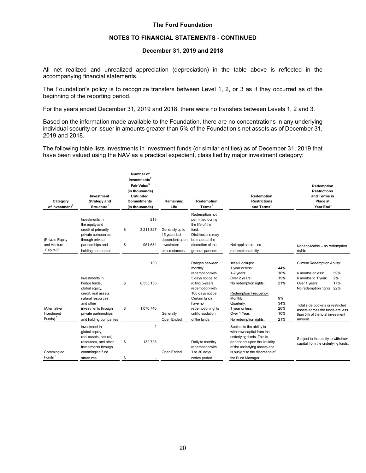#### **NOTES TO FINANCIAL STATEMENTS - CONTINUED**

#### **December 31, 2019 and 2018**

All net realized and unrealized appreciation (depreciation) in the table above is reflected in the accompanying financial statements.

The Foundation's policy is to recognize transfers between Level 1, 2, or 3 as if they occurred as of the beginning of the reporting period.

For the years ended December 31, 2019 and 2018, there were no transfers between Levels 1, 2 and 3.

Based on the information made available to the Foundation, there are no concentrations in any underlying individual security or issuer in amounts greater than 5% of the Foundation's net assets as of December 31, 2019 and 2018.

The following table lists investments in investment funds (or similar entities) as of December 31, 2019 that have been valued using the NAV as a practical expedient, classified by major investment category:

| Category<br>of Investment <sup>1</sup>                   | Investment<br><b>Strategy and</b><br>Structure <sup>1</sup>                                                                                                                         |          | Number of<br>Investments <sup>2</sup><br>Fair Value <sup>3</sup><br>(in thousands)<br><b>Unfunded</b><br><b>Commitments</b><br>(in thousands) | Remaining<br>Life <sup>1</sup>                                                    | Redemption<br>Terms <sup>1</sup>                                                                                                                                                                                   | Redemption<br><b>Restrictions</b><br>and Terms <sup>1</sup>                                                                                                                                                 |                                                            | Redemption<br><b>Restrictions</b><br>and Terms in<br>Place at<br>Year End <sup>1</sup>                                                                                                                                                                          |
|----------------------------------------------------------|-------------------------------------------------------------------------------------------------------------------------------------------------------------------------------------|----------|-----------------------------------------------------------------------------------------------------------------------------------------------|-----------------------------------------------------------------------------------|--------------------------------------------------------------------------------------------------------------------------------------------------------------------------------------------------------------------|-------------------------------------------------------------------------------------------------------------------------------------------------------------------------------------------------------------|------------------------------------------------------------|-----------------------------------------------------------------------------------------------------------------------------------------------------------------------------------------------------------------------------------------------------------------|
| (Private Equity<br>and Venture<br>Capital) <sup>4</sup>  | Investments in<br>the equity and<br>credit of primarily<br>private companies<br>through private<br>partnerships and<br>holding companies                                            | \$<br>\$ | 213<br>3,211,827<br>951,684                                                                                                                   | Generally up to<br>15 years but<br>dependent upon<br>investment<br>circumstances. | Redemption not<br>permitted during<br>the life of the<br>fund.<br>Distributions may<br>be made at the<br>discretion of the<br>general partners.                                                                    | Not applicable - no<br>redemption ability.                                                                                                                                                                  |                                                            | Not applicable - no redemption<br>rights                                                                                                                                                                                                                        |
| (Alternative<br><b>Investment</b><br>Funds) <sup>5</sup> | Investments in<br>hedge funds,<br>global equity,<br>credit, real assets,<br>natural resources.<br>and other<br>investments through<br>private partnerships<br>and holding companies | \$<br>\$ | 130<br>8.555.158<br>1,070,740                                                                                                                 | Generally<br>Open Ended                                                           | Ranges between<br>monthly<br>redemption with<br>5 days notice, to<br>rolling 5-years<br>redemption with<br>180 days notice.<br>Certain funds<br>have no<br>redemption rights<br>until dissolution<br>of the funds. | Initial Lockups:<br>1 year or less:<br>1-2 years:<br>Over 2 years:<br>No redemption rights:<br>Redemption Frequency:<br>Monthly:<br>Quarterly:<br>1 year or less:<br>Over 1 Year:<br>No redemption rights:  | 44%<br>16%<br>19%<br>21%<br>9%<br>34%<br>26%<br>10%<br>21% | Current Redemption Ability:<br>59%<br>6 months or less:<br>2%<br>6 months to 1 year:<br>17%<br>Over 1 years:<br>No redemption rights: 22%<br>Total side pockets or restricted<br>assets across the funds are less<br>than 5% of the total investment<br>amount. |
| Commingled<br>Funds <sup>6</sup>                         | Investment in<br>global equity,<br>real assets, natural,<br>resources, and other<br>investments through<br>commingled fund<br>structures                                            | \$<br>\$ | $\overline{2}$<br>132,728                                                                                                                     | Open Ended                                                                        | Daily to monthly<br>redemption with<br>1 to 30 days<br>notice period.                                                                                                                                              | Subject to the ability to<br>withdraw capital from the<br>underlying funds. This is<br>dependent upon the liquidity<br>of the underlying assets and<br>is subject to the discretion of<br>the Fund Manager. |                                                            | Subject to the ability to withdraw<br>capital from the underlying funds.                                                                                                                                                                                        |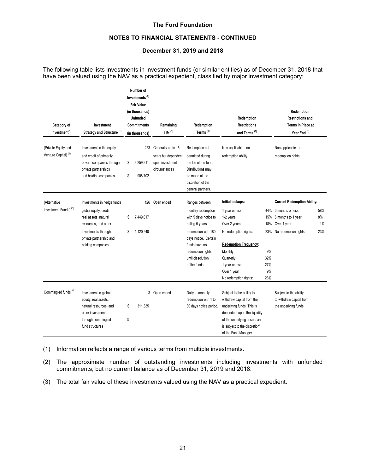#### **NOTES TO FINANCIAL STATEMENTS - CONTINUED**

## **December 31, 2019 and 2018**

The following table lists investments in investment funds (or similar entities) as of December 31, 2018 that have been valued using the NAV as a practical expedient, classified by major investment category:

| Category of<br>Investment<br>Investment <sup>(1)</sup><br>Strategy and Structure <sup>(1)</sup> |                                                                                                                                                                             | Number of<br>Investments <sup>(2)</sup><br><b>Fair Value</b><br>(in thousands)<br><b>Unfunded</b><br><b>Commitments</b><br>(in thousands) | Remaining<br>Life $(1)$                                                       | Redemption<br>Terms <sup>(1)</sup>                                                                                                                                                                          | Redemption<br><b>Restrictions</b><br>and Terms <sup>(1)</sup>                                                                                                                                                   |                                             | Redemption<br><b>Restrictions and</b><br>Terms in Place at<br>Year End <sup>(1)</sup>                                           |                         |
|-------------------------------------------------------------------------------------------------|-----------------------------------------------------------------------------------------------------------------------------------------------------------------------------|-------------------------------------------------------------------------------------------------------------------------------------------|-------------------------------------------------------------------------------|-------------------------------------------------------------------------------------------------------------------------------------------------------------------------------------------------------------|-----------------------------------------------------------------------------------------------------------------------------------------------------------------------------------------------------------------|---------------------------------------------|---------------------------------------------------------------------------------------------------------------------------------|-------------------------|
| (Private Equity and<br>Venture Capital) <sup>(4)</sup>                                          | Investment in the equity<br>and credit of primarily<br>private companies through<br>private partnerships<br>and holding companies.                                          | 223<br>3,259,911<br>\$<br>908,702<br>\$                                                                                                   | Generally up to 15<br>years but dependent<br>upon investment<br>circumstances | Redemption not<br>permitted during<br>the life of the fund.<br>Distributions may<br>be made at the<br>discretion of the<br>general partners.                                                                | Non applicable - no<br>redemption ability.                                                                                                                                                                      |                                             | Non applicable - no<br>redemption rights.                                                                                       |                         |
| (Alternative<br>investment Funds) <sup>(5)</sup>                                                | Investments in hedge funds<br>global equity, credit,<br>real assets, natural<br>resources, and other<br>investments through<br>private partnership and<br>holding companies | 126<br>7,449,017<br>\$<br>\$<br>1,120,940                                                                                                 | Open ended                                                                    | Ranges between<br>monthly redemption<br>with 5 days notice to<br>rolling 5-years<br>redemption with 180<br>days notice. Certain<br>funds have no<br>redemption rights<br>until dissolution<br>of the funds. | Initial lockups:<br>1 year or less:<br>1-2 years:<br>Over 2 years:<br>No redemption rights:<br><b>Redemption Frequency:</b><br>Monthly<br>Quarterly:<br>1 year or less:<br>Over 1 year<br>No redemption rights: | 15%<br>18%<br>9%<br>32%<br>27%<br>9%<br>23% | <b>Current Redemption Ability:</b><br>44% 6 months or less:<br>6 months to 1 year:<br>Over 1 year:<br>23% No redemption rights: | 58%<br>8%<br>11%<br>23% |
| Commingled funds <sup>(6)</sup>                                                                 | Investment in global<br>equity, real assets,<br>natural resources, and<br>other investments<br>through commingled<br>fund structures                                        | 311,335<br>\$<br>\$                                                                                                                       | 3 Open ended                                                                  | Daily to monthly<br>redemption with 1 to<br>30 days notice period.                                                                                                                                          | Subject to the ability to<br>withdraw capital from the<br>underlying funds. This is<br>dependent upon the liquidity<br>of the underlying assets and<br>is subject to the discretion'<br>of the Fund Manager.    |                                             | Subject to the ability<br>to withdraw capital from<br>the underlying funds.                                                     |                         |

- (1) Information reflects a range of various terms from multiple investments.
- (2) The approximate number of outstanding investments including investments with unfunded commitments, but no current balance as of December 31, 2019 and 2018.
- (3) The total fair value of these investments valued using the NAV as a practical expedient.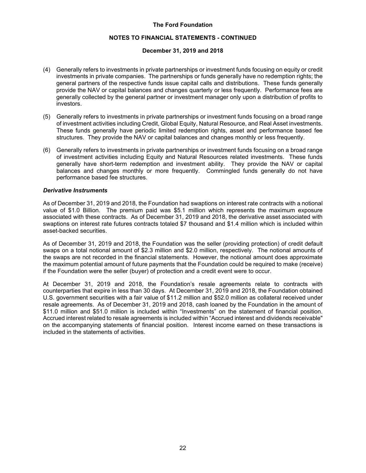#### **NOTES TO FINANCIAL STATEMENTS - CONTINUED**

#### **December 31, 2019 and 2018**

- (4) Generally refers to investments in private partnerships or investment funds focusing on equity or credit investments in private companies. The partnerships or funds generally have no redemption rights; the general partners of the respective funds issue capital calls and distributions. These funds generally provide the NAV or capital balances and changes quarterly or less frequently. Performance fees are generally collected by the general partner or investment manager only upon a distribution of profits to investors.
- (5) Generally refers to investments in private partnerships or investment funds focusing on a broad range of investment activities including Credit, Global Equity, Natural Resource, and Real Asset investments. These funds generally have periodic limited redemption rights, asset and performance based fee structures. They provide the NAV or capital balances and changes monthly or less frequently.
- (6) Generally refers to investments in private partnerships or investment funds focusing on a broad range of investment activities including Equity and Natural Resources related investments. These funds generally have short-term redemption and investment ability. They provide the NAV or capital balances and changes monthly or more frequently. Commingled funds generally do not have performance based fee structures.

#### *Derivative Instruments*

As of December 31, 2019 and 2018, the Foundation had swaptions on interest rate contracts with a notional value of \$1.0 Billion. The premium paid was \$5.1 million which represents the maximum exposure associated with these contracts. As of December 31, 2019 and 2018, the derivative asset associated with swaptions on interest rate futures contracts totaled \$7 thousand and \$1.4 million which is included within asset-backed securities.

As of December 31, 2019 and 2018, the Foundation was the seller (providing protection) of credit default swaps on a total notional amount of \$2.3 million and \$2.0 million, respectively. The notional amounts of the swaps are not recorded in the financial statements. However, the notional amount does approximate the maximum potential amount of future payments that the Foundation could be required to make (receive) if the Foundation were the seller (buyer) of protection and a credit event were to occur.

At December 31, 2019 and 2018, the Foundation's resale agreements relate to contracts with counterparties that expire in less than 30 days. At December 31, 2019 and 2018, the Foundation obtained U.S. government securities with a fair value of \$11.2 million and \$52.0 million as collateral received under resale agreements. As of December 31, 2019 and 2018, cash loaned by the Foundation in the amount of \$11.0 million and \$51.0 million is included within "Investments" on the statement of financial position. Accrued interest related to resale agreements is included within "Accrued interest and dividends receivable" on the accompanying statements of financial position. Interest income earned on these transactions is included in the statements of activities.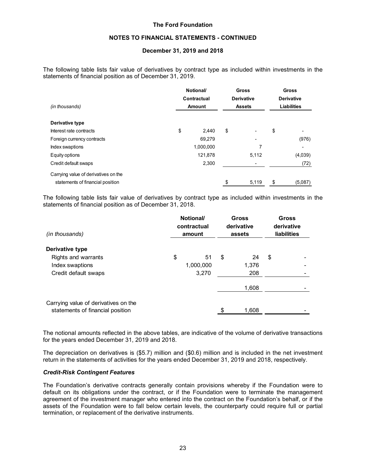#### **NOTES TO FINANCIAL STATEMENTS - CONTINUED**

#### **December 31, 2019 and 2018**

The following table lists fair value of derivatives by contract type as included within investments in the statements of financial position as of December 31, 2019.

|                                      | Notional/<br>Contractual | <b>Gross</b><br><b>Derivative</b> | <b>Gross</b><br><b>Derivative</b> |    |         |
|--------------------------------------|--------------------------|-----------------------------------|-----------------------------------|----|---------|
| (in thousands)                       | Amount                   | <b>Assets</b>                     | <b>Liabilities</b>                |    |         |
| Derivative type                      |                          |                                   |                                   |    |         |
| Interest rate contracts              | \$                       | 2,440                             | \$<br>٠                           | \$ |         |
| Foreign currency contracts           |                          | 69.279                            | ٠                                 |    | (976)   |
| Index swaptions                      |                          | 1,000,000                         |                                   |    |         |
| Equity options                       |                          | 121,878                           | 5,112                             |    | (4,039) |
| Credit default swaps                 |                          | 2,300                             |                                   |    | (72)    |
| Carrying value of derivatives on the |                          |                                   |                                   |    |         |
| statements of financial position     |                          |                                   | \$<br>5,119                       | \$ | (5,087) |

The following table lists fair value of derivatives by contract type as included within investments in the statements of financial position as of December 31, 2018.

|                                                                          | Notional/<br>contractual |           |    | <b>Gross</b><br>derivative | <b>Gross</b><br>derivative |                    |
|--------------------------------------------------------------------------|--------------------------|-----------|----|----------------------------|----------------------------|--------------------|
| (in thousands)                                                           |                          | amount    |    | assets                     |                            | <b>liabilities</b> |
| Derivative type                                                          |                          |           |    |                            |                            |                    |
| Rights and warrants                                                      | \$                       | 51        | \$ | 24                         | \$                         |                    |
| Index swaptions                                                          |                          | 1,000,000 |    | 1,376                      |                            |                    |
| Credit default swaps                                                     |                          | 3,270     |    | 208                        |                            |                    |
|                                                                          |                          |           |    | 1,608                      |                            |                    |
| Carrying value of derivatives on the<br>statements of financial position |                          |           | \$ | 1,608                      |                            |                    |

The notional amounts reflected in the above tables, are indicative of the volume of derivative transactions for the years ended December 31, 2019 and 2018.

The depreciation on derivatives is (\$5.7) million and (\$0.6) million and is included in the net investment return in the statements of activities for the years ended December 31, 2019 and 2018, respectively.

#### *Credit-Risk Contingent Features*

The Foundation's derivative contracts generally contain provisions whereby if the Foundation were to default on its obligations under the contract, or if the Foundation were to terminate the management agreement of the investment manager who entered into the contract on the Foundation's behalf, or if the assets of the Foundation were to fall below certain levels, the counterparty could require full or partial termination, or replacement of the derivative instruments.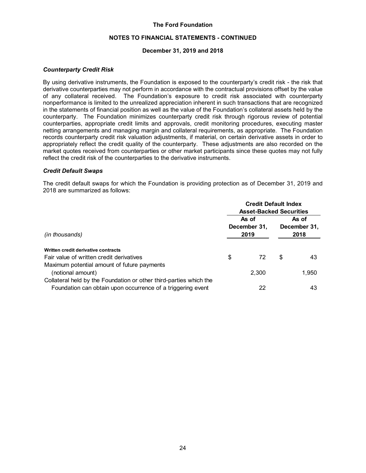#### **NOTES TO FINANCIAL STATEMENTS - CONTINUED**

#### **December 31, 2019 and 2018**

#### *Counterparty Credit Risk*

By using derivative instruments, the Foundation is exposed to the counterparty's credit risk - the risk that derivative counterparties may not perform in accordance with the contractual provisions offset by the value of any collateral received. The Foundation's exposure to credit risk associated with counterparty nonperformance is limited to the unrealized appreciation inherent in such transactions that are recognized in the statements of financial position as well as the value of the Foundation's collateral assets held by the counterparty. The Foundation minimizes counterparty credit risk through rigorous review of potential counterparties, appropriate credit limits and approvals, credit monitoring procedures, executing master netting arrangements and managing margin and collateral requirements, as appropriate. The Foundation records counterparty credit risk valuation adjustments, if material, on certain derivative assets in order to appropriately reflect the credit quality of the counterparty. These adjustments are also recorded on the market quotes received from counterparties or other market participants since these quotes may not fully reflect the credit risk of the counterparties to the derivative instruments.

#### *Credit Default Swaps*

The credit default swaps for which the Foundation is providing protection as of December 31, 2019 and 2018 are summarized as follows:

|                                                                    | <b>Credit Default Index</b><br><b>Asset-Backed Securities</b> |                               |    |                               |  |  |  |
|--------------------------------------------------------------------|---------------------------------------------------------------|-------------------------------|----|-------------------------------|--|--|--|
| (in thousands)                                                     |                                                               | As of<br>December 31,<br>2019 |    | As of<br>December 31,<br>2018 |  |  |  |
| Written credit derivative contracts                                |                                                               |                               |    |                               |  |  |  |
| Fair value of written credit derivatives                           | \$                                                            | 72                            | \$ | 43                            |  |  |  |
| Maximum potential amount of future payments                        |                                                               |                               |    |                               |  |  |  |
| (notional amount)                                                  |                                                               | 2.300                         |    | 1,950                         |  |  |  |
| Collateral held by the Foundation or other third-parties which the |                                                               |                               |    |                               |  |  |  |
| Foundation can obtain upon occurrence of a triggering event        |                                                               | 22                            |    | 43                            |  |  |  |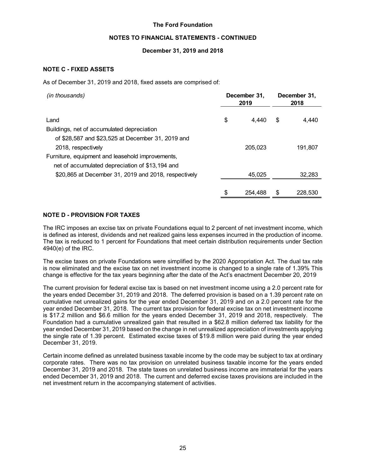#### **NOTES TO FINANCIAL STATEMENTS - CONTINUED**

## **December 31, 2019 and 2018**

# **NOTE C - FIXED ASSETS**

As of December 31, 2019 and 2018, fixed assets are comprised of:

| (in thousands)                                       | December 31,<br>2019 |         |    | December 31,<br>2018 |  |  |
|------------------------------------------------------|----------------------|---------|----|----------------------|--|--|
|                                                      |                      |         |    |                      |  |  |
| Land                                                 | \$                   | 4.440   | \$ | 4,440                |  |  |
| Buildings, net of accumulated depreciation           |                      |         |    |                      |  |  |
| of \$28,587 and \$23,525 at December 31, 2019 and    |                      |         |    |                      |  |  |
| 2018, respectively                                   |                      | 205.023 |    | 191.807              |  |  |
| Furniture, equipment and leasehold improvements,     |                      |         |    |                      |  |  |
| net of accumulated depreciation of \$13,194 and      |                      |         |    |                      |  |  |
| \$20,865 at December 31, 2019 and 2018, respectively |                      | 45,025  |    | 32,283               |  |  |
|                                                      |                      |         |    |                      |  |  |
|                                                      | \$                   | 254.488 | S  | 228,530              |  |  |

# **NOTE D - PROVISION FOR TAXES**

The IRC imposes an excise tax on private Foundations equal to 2 percent of net investment income, which is defined as interest, dividends and net realized gains less expenses incurred in the production of income. The tax is reduced to 1 percent for Foundations that meet certain distribution requirements under Section 4940(e) of the IRC.

The excise taxes on private Foundations were simplified by the 2020 Appropriation Act. The dual tax rate is now eliminated and the excise tax on net investment income is changed to a single rate of 1.39% This change is effective for the tax years beginning after the date of the Act's enactment December 20, 2019

The current provision for federal excise tax is based on net investment income using a 2.0 percent rate for the years ended December 31, 2019 and 2018. The deferred provision is based on a 1.39 percent rate on cumulative net unrealized gains for the year ended December 31, 2019 and on a 2.0 percent rate for the year ended December 31, 2018. The current tax provision for federal excise tax on net investment income is \$17.2 million and \$6.6 million for the years ended December 31, 2019 and 2018, respectively. The Foundation had a cumulative unrealized gain that resulted in a \$62.8 million deferred tax liability for the year ended December 31, 2019 based on the change in net unrealized appreciation of investments applying the single rate of 1.39 percent. Estimated excise taxes of \$19.8 million were paid during the year ended December 31, 2019.

Certain income defined as unrelated business taxable income by the code may be subject to tax at ordinary corporate rates. There was no tax provision on unrelated business taxable income for the years ended December 31, 2019 and 2018. The state taxes on unrelated business income are immaterial for the years ended December 31, 2019 and 2018. The current and deferred excise taxes provisions are included in the net investment return in the accompanying statement of activities.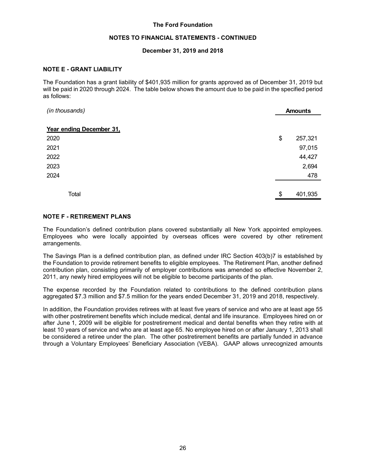#### **NOTES TO FINANCIAL STATEMENTS - CONTINUED**

#### **December 31, 2019 and 2018**

#### **NOTE E - GRANT LIABILITY**

The Foundation has a grant liability of \$401,935 million for grants approved as of December 31, 2019 but will be paid in 2020 through 2024. The table below shows the amount due to be paid in the specified period as follows:

| (in thousands)           |    | <b>Amounts</b> |
|--------------------------|----|----------------|
| Year ending December 31, |    |                |
| 2020                     | \$ | 257,321        |
| 2021                     |    | 97,015         |
| 2022                     |    | 44,427         |
| 2023                     |    | 2,694          |
| 2024                     |    | 478            |
|                          |    |                |
| Total                    | \$ | 401,935        |

#### **NOTE F - RETIREMENT PLANS**

The Foundation's defined contribution plans covered substantially all New York appointed employees. Employees who were locally appointed by overseas offices were covered by other retirement arrangements.

The Savings Plan is a defined contribution plan, as defined under IRC Section 403(b)7 is established by the Foundation to provide retirement benefits to eligible employees. The Retirement Plan, another defined contribution plan, consisting primarily of employer contributions was amended so effective November 2, 2011, any newly hired employees will not be eligible to become participants of the plan.

The expense recorded by the Foundation related to contributions to the defined contribution plans aggregated \$7.3 million and \$7.5 million for the years ended December 31, 2019 and 2018, respectively.

In addition, the Foundation provides retirees with at least five years of service and who are at least age 55 with other postretirement benefits which include medical, dental and life insurance. Employees hired on or after June 1, 2009 will be eligible for postretirement medical and dental benefits when they retire with at least 10 years of service and who are at least age 65. No employee hired on or after January 1, 2013 shall be considered a retiree under the plan. The other postretirement benefits are partially funded in advance through a Voluntary Employees' Beneficiary Association (VEBA). GAAP allows unrecognized amounts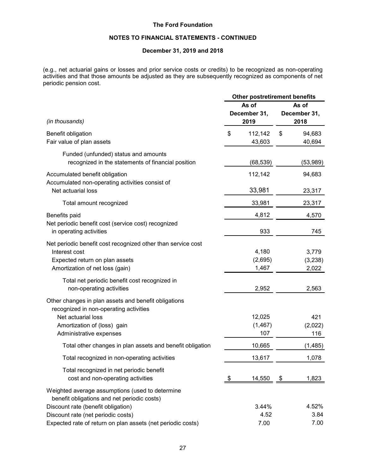# **NOTES TO FINANCIAL STATEMENTS - CONTINUED**

# **December 31, 2019 and 2018**

(e.g., net actuarial gains or losses and prior service costs or credits) to be recognized as non-operating activities and that those amounts be adjusted as they are subsequently recognized as components of net periodic pension cost.

|                                                                                                                                                                                | <b>Other postretirement benefits</b> |                               |                               |                           |  |
|--------------------------------------------------------------------------------------------------------------------------------------------------------------------------------|--------------------------------------|-------------------------------|-------------------------------|---------------------------|--|
| (in thousands)                                                                                                                                                                 |                                      | As of<br>December 31,<br>2019 | As of<br>December 31,<br>2018 |                           |  |
| Benefit obligation<br>Fair value of plan assets                                                                                                                                | \$                                   | 112,142<br>43,603             | \$                            | 94,683<br>40,694          |  |
| Funded (unfunded) status and amounts<br>recognized in the statements of financial position                                                                                     |                                      | (68, 539)                     |                               | (53,989)                  |  |
| Accumulated benefit obligation<br>Accumulated non-operating activities consist of                                                                                              |                                      | 112,142                       |                               | 94,683                    |  |
| Net actuarial loss<br>Total amount recognized                                                                                                                                  |                                      | 33,981<br>33,981              |                               | 23,317<br>23,317          |  |
| Benefits paid                                                                                                                                                                  |                                      | 4,812                         |                               | 4,570                     |  |
| Net periodic benefit cost (service cost) recognized<br>in operating activities                                                                                                 |                                      | 933                           |                               | 745                       |  |
| Net periodic benefit cost recognized other than service cost<br>Interest cost<br>Expected return on plan assets<br>Amortization of net loss (gain)                             |                                      | 4,180<br>(2,695)<br>1,467     |                               | 3,779<br>(3,238)<br>2,022 |  |
| Total net periodic benefit cost recognized in<br>non-operating activities                                                                                                      |                                      | 2,952                         |                               | 2,563                     |  |
| Other changes in plan assets and benefit obligations<br>recognized in non-operating activities<br>Net actuarial loss<br>Amortization of (loss) gain<br>Administrative expenses |                                      | 12,025<br>(1, 467)<br>107     |                               | 421<br>(2,022)<br>116     |  |
| Total other changes in plan assets and benefit obligation                                                                                                                      |                                      | 10,665                        |                               | (1, 485)                  |  |
| Total recognized in non-operating activities                                                                                                                                   |                                      | 13,617                        |                               | 1,078                     |  |
| Total recognized in net periodic benefit<br>cost and non-operating activities                                                                                                  | \$                                   | 14,550                        | \$                            | 1,823                     |  |
| Weighted average assumptions (used to determine<br>benefit obligations and net periodic costs)<br>Discount rate (benefit obligation)<br>Discount rate (net periodic costs)     |                                      | 3.44%<br>4.52                 |                               | 4.52%<br>3.84             |  |
| Expected rate of return on plan assets (net periodic costs)                                                                                                                    |                                      | 7.00                          |                               | 7.00                      |  |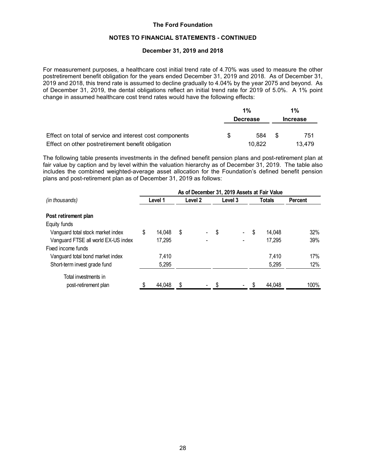#### **NOTES TO FINANCIAL STATEMENTS - CONTINUED**

#### **December 31, 2019 and 2018**

For measurement purposes, a healthcare cost initial trend rate of 4.70% was used to measure the other postretirement benefit obligation for the years ended December 31, 2019 and 2018. As of December 31, 2019 and 2018, this trend rate is assumed to decline gradually to 4.04% by the year 2075 and beyond. As of December 31, 2019, the dental obligations reflect an initial trend rate for 2019 of 5.0%. A 1% point change in assumed healthcare cost trend rates would have the following effects:

|                                                         |   | $1\%$           |     | $1\%$           |  |  |
|---------------------------------------------------------|---|-----------------|-----|-----------------|--|--|
|                                                         |   | <b>Decrease</b> |     | <b>Increase</b> |  |  |
| Effect on total of service and interest cost components | S | 584             | -SS | 751             |  |  |
| Effect on other postretirement benefit obligation       |   | 10.822          |     | 13.479          |  |  |

The following table presents investments in the defined benefit pension plans and post-retirement plan at fair value by caption and by level within the valuation hierarchy as of December 31, 2019. The table also includes the combined weighted-average asset allocation for the Foundation's defined benefit pension plans and post-retirement plan as of December 31, 2019 as follows:

|                                     | As of December 31, 2019 Assets at Fair Value |         |    |                    |    |                    |     |        |                |  |
|-------------------------------------|----------------------------------------------|---------|----|--------------------|----|--------------------|-----|--------|----------------|--|
| (in thousands)                      |                                              | Level 1 |    | Level <sub>2</sub> |    | Level <sub>3</sub> |     | Totals | <b>Percent</b> |  |
| Post retirement plan                |                                              |         |    |                    |    |                    |     |        |                |  |
| Equity funds                        |                                              |         |    |                    |    |                    |     |        |                |  |
| Vanguard total stock market index   | S                                            | 14.048  | \$ | $\blacksquare$     | \$ | $\sim$             | \$  | 14.048 | 32%            |  |
| Vanguard FTSE all world EX-US index |                                              | 17,295  |    |                    |    |                    |     | 17,295 | 39%            |  |
| Fixed income funds                  |                                              |         |    |                    |    |                    |     |        |                |  |
| Vanguard total bond market index    |                                              | 7.410   |    |                    |    |                    |     | 7,410  | 17%            |  |
| Short-term invest grade fund        |                                              | 5,295   |    |                    |    |                    |     | 5,295  | 12%            |  |
| Total investments in                |                                              |         |    |                    |    |                    |     |        |                |  |
| post-retirement plan                |                                              | 44,048  |    |                    |    |                    | \$. | 44,048 | 100%           |  |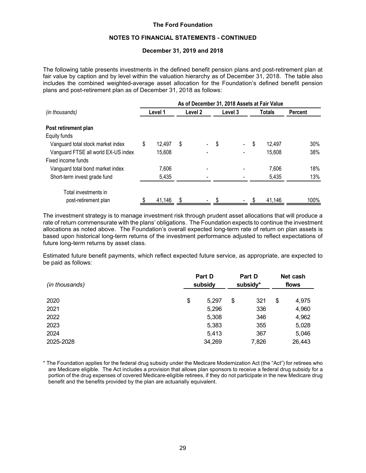#### **NOTES TO FINANCIAL STATEMENTS - CONTINUED**

#### **December 31, 2019 and 2018**

The following table presents investments in the defined benefit pension plans and post-retirement plan at fair value by caption and by level within the valuation hierarchy as of December 31, 2018. The table also includes the combined weighted-average asset allocation for the Foundation's defined benefit pension plans and post-retirement plan as of December 31, 2018 as follows:

|                                     | As of December 31, 2018 Assets at Fair Value |         |    |                    |    |         |    |        |                |  |
|-------------------------------------|----------------------------------------------|---------|----|--------------------|----|---------|----|--------|----------------|--|
| (in thousands)                      |                                              | Level 1 |    | Level <sub>2</sub> |    | Level 3 |    | Totals | <b>Percent</b> |  |
| Post retirement plan                |                                              |         |    |                    |    |         |    |        |                |  |
| Equity funds                        |                                              |         |    |                    |    |         |    |        |                |  |
| Vanguard total stock market index   | \$                                           | 12.497  | \$ |                    | \$ | ٠       | \$ | 12.497 | 30%            |  |
| Vanguard FTSE all world EX-US index |                                              | 15,608  |    |                    |    |         |    | 15,608 | 38%            |  |
| Fixed income funds                  |                                              |         |    |                    |    |         |    |        |                |  |
| Vanguard total bond market index    |                                              | 7,606   |    |                    |    |         |    | 7,606  | 18%            |  |
| Short-term invest grade fund        |                                              | 5,435   |    |                    |    |         |    | 5,435  | 13%            |  |
| Total investments in                |                                              |         |    |                    |    |         |    |        |                |  |
| post-retirement plan                |                                              | 41,146  |    |                    |    |         |    | 41,146 | 100%           |  |

The investment strategy is to manage investment risk through prudent asset allocations that will produce a rate of return commensurate with the plans' obligations. The Foundation expects to continue the investment allocations as noted above. The Foundation's overall expected long-term rate of return on plan assets is based upon historical long-term returns of the investment performance adjusted to reflect expectations of future long-term returns by asset class.

Estimated future benefit payments, which reflect expected future service, as appropriate, are expected to be paid as follows:

| (in thousands) | Part D<br>subsidy |        |    | Part D<br>subsidy* |    | Net cash<br>flows |  |
|----------------|-------------------|--------|----|--------------------|----|-------------------|--|
| 2020           | \$                | 5.297  | \$ | 321                | \$ | 4,975             |  |
| 2021           |                   | 5,296  |    | 336                |    | 4,960             |  |
| 2022           |                   | 5,308  |    | 346                |    | 4,962             |  |
| 2023           |                   | 5,383  |    | 355                |    | 5,028             |  |
| 2024           |                   | 5,413  |    | 367                |    | 5,046             |  |
| 2025-2028      |                   | 34,269 |    | 7,826              |    | 26,443            |  |

\* The Foundation applies for the federal drug subsidy under the Medicare Modernization Act (the "Act") for retirees who are Medicare eligible. The Act includes a provision that allows plan sponsors to receive a federal drug subsidy for a portion of the drug expenses of covered Medicare-eligible retirees, if they do not participate in the new Medicare drug benefit and the benefits provided by the plan are actuarially equivalent.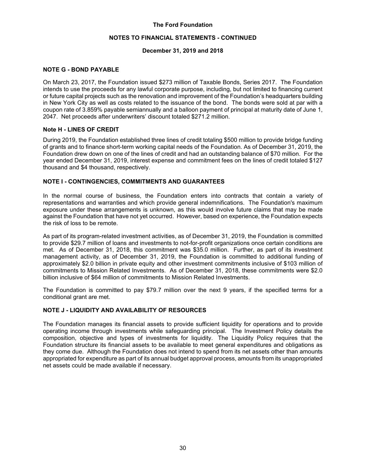#### **NOTES TO FINANCIAL STATEMENTS - CONTINUED**

#### **December 31, 2019 and 2018**

## **NOTE G - BOND PAYABLE**

On March 23, 2017, the Foundation issued \$273 million of Taxable Bonds, Series 2017. The Foundation intends to use the proceeds for any lawful corporate purpose, including, but not limited to financing current or future capital projects such as the renovation and improvement of the Foundation's headquarters building in New York City as well as costs related to the issuance of the bond. The bonds were sold at par with a coupon rate of 3.859% payable semiannually and a balloon payment of principal at maturity date of June 1, 2047. Net proceeds after underwriters' discount totaled \$271.2 million.

#### **Note H - LINES OF CREDIT**

During 2019, the Foundation established three lines of credit totaling \$500 million to provide bridge funding of grants and to finance short-term working capital needs of the Foundation. As of December 31, 2019, the Foundation drew down on one of the lines of credit and had an outstanding balance of \$70 million. For the year ended December 31, 2019, interest expense and commitment fees on the lines of credit totaled \$127 thousand and \$4 thousand, respectively.

#### **NOTE I - CONTINGENCIES, COMMITMENTS AND GUARANTEES**

In the normal course of business, the Foundation enters into contracts that contain a variety of representations and warranties and which provide general indemnifications. The Foundation's maximum exposure under these arrangements is unknown, as this would involve future claims that may be made against the Foundation that have not yet occurred. However, based on experience, the Foundation expects the risk of loss to be remote.

As part of its program-related investment activities, as of December 31, 2019, the Foundation is committed to provide \$29.7 million of loans and investments to not-for-profit organizations once certain conditions are met. As of December 31, 2018, this commitment was \$35.0 million. Further, as part of its investment management activity, as of December 31, 2019, the Foundation is committed to additional funding of approximately \$2.0 billion in private equity and other investment commitments inclusive of \$103 million of commitments to Mission Related Investments. As of December 31, 2018, these commitments were \$2.0 billion inclusive of \$64 million of commitments to Mission Related Investments.

The Foundation is committed to pay \$79.7 million over the next 9 years, if the specified terms for a conditional grant are met.

# **NOTE J - LIQUIDITY AND AVAILABILITY OF RESOURCES**

The Foundation manages its financial assets to provide sufficient liquidity for operations and to provide operating income through investments while safeguarding principal. The Investment Policy details the composition, objective and types of investments for liquidity. The Liquidity Policy requires that the Foundation structure its financial assets to be available to meet general expenditures and obligations as they come due. Although the Foundation does not intend to spend from its net assets other than amounts appropriated for expenditure as part of its annual budget approval process, amounts from its unappropriated net assets could be made available if necessary.